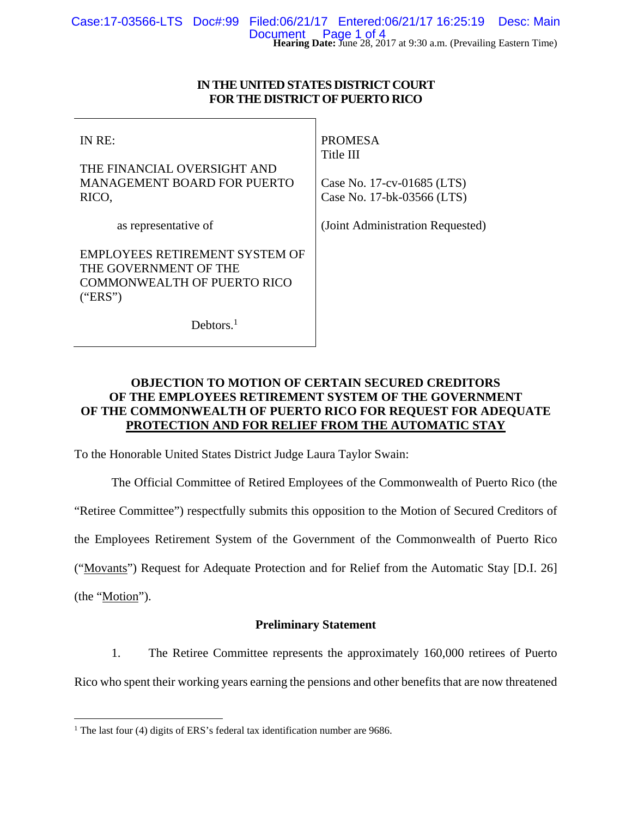## **IN THE UNITED STATES DISTRICT COURT FOR THE DISTRICT OF PUERTO RICO**

IN RE:

THE FINANCIAL OVERSIGHT AND MANAGEMENT BOARD FOR PUERTO RICO,

as representative of

PROMESA Title III

Case No. 17-cv-01685 (LTS) Case No. 17-bk-03566 (LTS)

(Joint Administration Requested)

THE GOVERNMENT OF THE COMMONWEALTH OF PUERTO RICO ("ERS")

EMPLOYEES RETIREMENT SYSTEM OF

Debtors.<sup>1</sup>

## **OBJECTION TO MOTION OF CERTAIN SECURED CREDITORS OF THE EMPLOYEES RETIREMENT SYSTEM OF THE GOVERNMENT OF THE COMMONWEALTH OF PUERTO RICO FOR REQUEST FOR ADEQUATE PROTECTION AND FOR RELIEF FROM THE AUTOMATIC STAY**

To the Honorable United States District Judge Laura Taylor Swain:

The Official Committee of Retired Employees of the Commonwealth of Puerto Rico (the

"Retiree Committee") respectfully submits this opposition to the Motion of Secured Creditors of

the Employees Retirement System of the Government of the Commonwealth of Puerto Rico

("Movants") Request for Adequate Protection and for Relief from the Automatic Stay [D.I. 26]

(the "Motion").

## **Preliminary Statement**

1. The Retiree Committee represents the approximately 160,000 retirees of Puerto Rico who spent their working years earning the pensions and other benefits that are now threatened

<sup>&</sup>lt;u>.</u> <sup>1</sup> The last four (4) digits of ERS's federal tax identification number are 9686.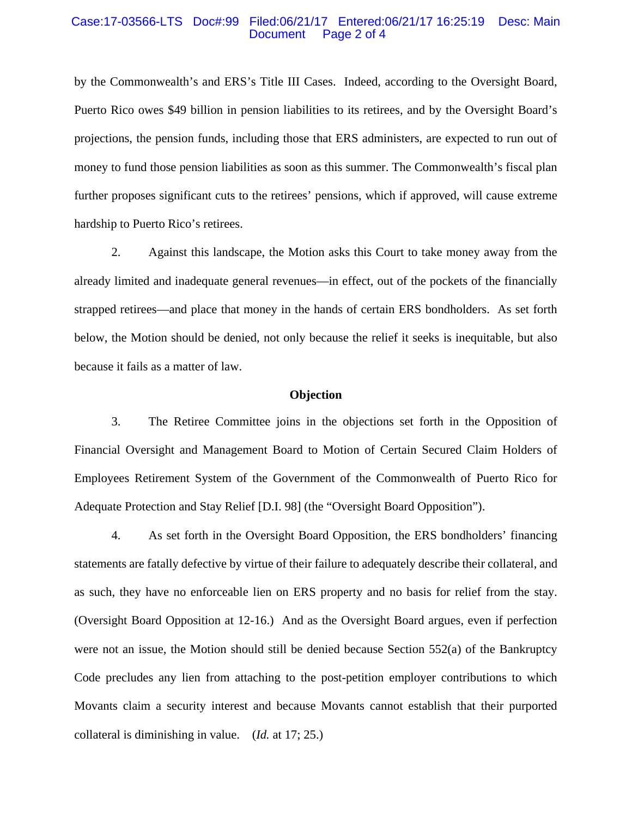#### Case:17-03566-LTS Doc#:99 Filed:06/21/17 Entered:06/21/17 16:25:19 Desc: Main Page 2 of 4

by the Commonwealth's and ERS's Title III Cases. Indeed, according to the Oversight Board, Puerto Rico owes \$49 billion in pension liabilities to its retirees, and by the Oversight Board's projections, the pension funds, including those that ERS administers, are expected to run out of money to fund those pension liabilities as soon as this summer. The Commonwealth's fiscal plan further proposes significant cuts to the retirees' pensions, which if approved, will cause extreme hardship to Puerto Rico's retirees.

2. Against this landscape, the Motion asks this Court to take money away from the already limited and inadequate general revenues—in effect, out of the pockets of the financially strapped retirees—and place that money in the hands of certain ERS bondholders. As set forth below, the Motion should be denied, not only because the relief it seeks is inequitable, but also because it fails as a matter of law.

#### **Objection**

3. The Retiree Committee joins in the objections set forth in the Opposition of Financial Oversight and Management Board to Motion of Certain Secured Claim Holders of Employees Retirement System of the Government of the Commonwealth of Puerto Rico for Adequate Protection and Stay Relief [D.I. 98] (the "Oversight Board Opposition").

4. As set forth in the Oversight Board Opposition, the ERS bondholders' financing statements are fatally defective by virtue of their failure to adequately describe their collateral, and as such, they have no enforceable lien on ERS property and no basis for relief from the stay. (Oversight Board Opposition at 12-16.) And as the Oversight Board argues, even if perfection were not an issue, the Motion should still be denied because Section 552(a) of the Bankruptcy Code precludes any lien from attaching to the post-petition employer contributions to which Movants claim a security interest and because Movants cannot establish that their purported collateral is diminishing in value. (*Id.* at 17; 25.)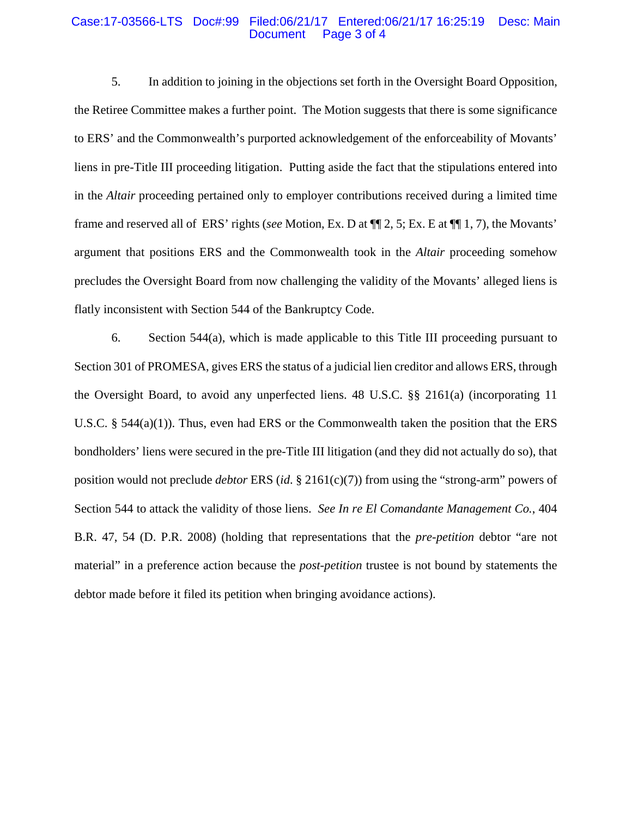#### Case:17-03566-LTS Doc#:99 Filed:06/21/17 Entered:06/21/17 16:25:19 Desc: Main Page 3 of 4

5. In addition to joining in the objections set forth in the Oversight Board Opposition, the Retiree Committee makes a further point. The Motion suggests that there is some significance to ERS' and the Commonwealth's purported acknowledgement of the enforceability of Movants' liens in pre-Title III proceeding litigation. Putting aside the fact that the stipulations entered into in the *Altair* proceeding pertained only to employer contributions received during a limited time frame and reserved all of ERS' rights (*see* Motion, Ex. D at ¶¶ 2, 5; Ex. E at ¶¶ 1, 7), the Movants' argument that positions ERS and the Commonwealth took in the *Altair* proceeding somehow precludes the Oversight Board from now challenging the validity of the Movants' alleged liens is flatly inconsistent with Section 544 of the Bankruptcy Code.

6. Section 544(a), which is made applicable to this Title III proceeding pursuant to Section 301 of PROMESA, gives ERS the status of a judicial lien creditor and allows ERS, through the Oversight Board, to avoid any unperfected liens. 48 U.S.C. §§ 2161(a) (incorporating 11 U.S.C. § 544(a)(1)). Thus, even had ERS or the Commonwealth taken the position that the ERS bondholders' liens were secured in the pre-Title III litigation (and they did not actually do so), that position would not preclude *debtor* ERS (*id*. § 2161(c)(7)) from using the "strong-arm" powers of Section 544 to attack the validity of those liens. *See In re El Comandante Management Co.*, 404 B.R. 47, 54 (D. P.R. 2008) (holding that representations that the *pre-petition* debtor "are not material" in a preference action because the *post-petition* trustee is not bound by statements the debtor made before it filed its petition when bringing avoidance actions).